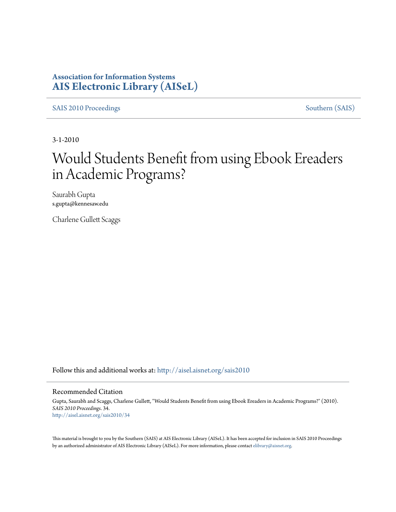### **Association for Information Systems [AIS Electronic Library \(AISeL\)](http://aisel.aisnet.org?utm_source=aisel.aisnet.org%2Fsais2010%2F34&utm_medium=PDF&utm_campaign=PDFCoverPages)**

[SAIS 2010 Proceedings](http://aisel.aisnet.org/sais2010?utm_source=aisel.aisnet.org%2Fsais2010%2F34&utm_medium=PDF&utm_campaign=PDFCoverPages) [Southern \(SAIS\)](http://aisel.aisnet.org/sais?utm_source=aisel.aisnet.org%2Fsais2010%2F34&utm_medium=PDF&utm_campaign=PDFCoverPages)

3-1-2010

# Would Students Benefit from using Ebook Ereaders in Academic Programs?

Saurabh Gupta s.gupta@kennesaw.edu

Charlene Gullett Scaggs

Follow this and additional works at: [http://aisel.aisnet.org/sais2010](http://aisel.aisnet.org/sais2010?utm_source=aisel.aisnet.org%2Fsais2010%2F34&utm_medium=PDF&utm_campaign=PDFCoverPages)

#### Recommended Citation

Gupta, Saurabh and Scaggs, Charlene Gullett, "Would Students Benefit from using Ebook Ereaders in Academic Programs?" (2010). *SAIS 2010 Proceedings*. 34. [http://aisel.aisnet.org/sais2010/34](http://aisel.aisnet.org/sais2010/34?utm_source=aisel.aisnet.org%2Fsais2010%2F34&utm_medium=PDF&utm_campaign=PDFCoverPages)

This material is brought to you by the Southern (SAIS) at AIS Electronic Library (AISeL). It has been accepted for inclusion in SAIS 2010 Proceedings by an authorized administrator of AIS Electronic Library (AISeL). For more information, please contact [elibrary@aisnet.org](mailto:elibrary@aisnet.org%3E).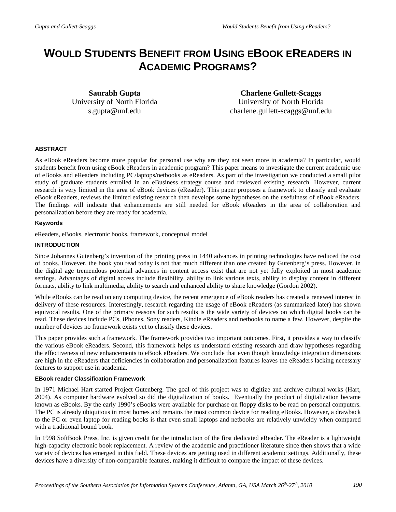## **WOULD STUDENTS BENEFIT FROM USING EBOOK EREADERS IN ACADEMIC PROGRAMS?**

**Saurabh Gupta** University of North Florida s.gupta@unf.edu

**Charlene Gullett-Scaggs** University of North Florida charlene.gullett-scaggs@unf.edu

#### **ABSTRACT**

As eBook eReaders become more popular for personal use why are they not seen more in academia? In particular, would students benefit from using eBook eReaders in academic program? This paper means to investigate the current academic use of eBooks and eReaders including PC/laptops/netbooks as eReaders. As part of the investigation we conducted a small pilot study of graduate students enrolled in an eBusiness strategy course and reviewed existing research. However, current research is very limited in the area of eBook devices (eReader). This paper proposes a framework to classify and evaluate eBook eReaders, reviews the limited existing research then develops some hypotheses on the usefulness of eBook eReaders. The findings will indicate that enhancements are still needed for eBook eReaders in the area of collaboration and personalization before they are ready for academia.

#### **Keywords**

eReaders, eBooks, electronic books, framework, conceptual model

#### **INTRODUCTION**

Since Johannes Gutenberg's invention of the printing press in 1440 advances in printing technologies have reduced the cost of books. However, the book you read today is not that much different than one created by Gutenberg's press. However, in the digital age tremendous potential advances in content access exist that are not yet fully exploited in most academic settings. Advantages of digital access include flexibility, ability to link various texts, ability to display content in different formats, ability to link multimedia, ability to search and enhanced ability to share knowledge (Gordon 2002).

While eBooks can be read on any computing device, the recent emergence of eBook readers has created a renewed interest in delivery of these resources. Interestingly, research regarding the usage of eBook eReaders (as summarized later) has shown equivocal results. One of the primary reasons for such results is the wide variety of devices on which digital books can be read. These devices include PCs, iPhones, Sony readers, Kindle eReaders and netbooks to name a few. However, despite the number of devices no framework exists yet to classify these devices.

This paper provides such a framework. The framework provides two important outcomes. First, it provides a way to classify the various eBook eReaders. Second, this framework helps us understand existing research and draw hypotheses regarding the effectiveness of new enhancements to eBook eReaders. We conclude that even though knowledge integration dimensions are high in the eReaders that deficiencies in collaboration and personalization features leaves the eReaders lacking necessary features to support use in academia.

#### **EBook reader Classification Framework**

In 1971 Michael Hart started Project Gutenberg. The goal of this project was to digitize and archive cultural works (Hart, 2004). As computer hardware evolved so did the digitalization of books. Eventually the product of digitalization became known as eBooks. By the early 1990's eBooks were available for purchase on floppy disks to be read on personal computers. The PC is already ubiquitous in most homes and remains the most common device for reading eBooks. However, a drawback to the PC or even laptop for reading books is that even small laptops and netbooks are relatively unwieldy when compared with a traditional bound book.

In 1998 SoftBook Press, Inc. is given credit for the introduction of the first dedicated eReader. The eReader is a lightweight high-capacity electronic book replacement. A review of the academic and practitioner literature since then shows that a wide variety of devices has emerged in this field. These devices are getting used in different academic settings. Additionally, these devices have a diversity of non-comparable features, making it difficult to compare the impact of these devices.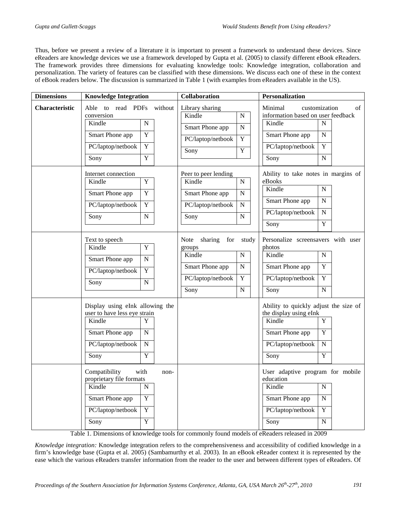Thus, before we present a review of a literature it is important to present a framework to understand these devices. Since eReaders are knowledge devices we use a framework developed by Gupta et al. (2005) to classify different eBook eReaders. The framework provides three dimensions for evaluating knowledge tools: Knowledge integration, collaboration and personalization. The variety of features can be classified with these dimensions. We discuss each one of these in the context of eBook readers below. The discussion is summarized in Table 1 (with examples from eReaders available in the US).

| Able to read PDFs without<br>Minimal<br>Characteristic<br>Library sharing<br>customization<br>conversion<br>information based on user feedback<br>Kindle<br>$\mathbf N$<br>Kindle<br>${\bf N}$<br>Kindle<br>N<br>Smart Phone app<br>$\mathbf N$<br>$\mathbf Y$<br>Smart Phone app<br>Smart Phone app<br>N<br>$\overline{Y}$<br>PC/laptop/netbook<br>$\mathbf Y$<br>Y<br>PC/laptop/netbook<br>PC/laptop/netbook<br>Y<br>Sony<br>$\overline{Y}$<br>$\overline{N}$<br>Sony<br>Sony<br>Ability to take notes in margins of<br>Internet connection<br>Peer to peer lending<br>Kindle<br>$\mathbf Y$<br>Kindle<br>${\bf N}$<br>eBooks<br>Kindle<br>$\overline{N}$<br>$\mathbf Y$<br>Smart Phone app<br>$\mathbf N$<br>Smart Phone app<br>Smart Phone app<br>$\mathbf N$<br>$\mathbf Y$<br>PC/laptop/netbook<br>PC/laptop/netbook<br>N<br>PC/laptop/netbook<br>$\overline{N}$<br>${\bf N}$<br>${\bf N}$<br>Sony<br>Sony | of |
|------------------------------------------------------------------------------------------------------------------------------------------------------------------------------------------------------------------------------------------------------------------------------------------------------------------------------------------------------------------------------------------------------------------------------------------------------------------------------------------------------------------------------------------------------------------------------------------------------------------------------------------------------------------------------------------------------------------------------------------------------------------------------------------------------------------------------------------------------------------------------------------------------------------|----|
|                                                                                                                                                                                                                                                                                                                                                                                                                                                                                                                                                                                                                                                                                                                                                                                                                                                                                                                  |    |
| $\overline{Y}$<br>Sony                                                                                                                                                                                                                                                                                                                                                                                                                                                                                                                                                                                                                                                                                                                                                                                                                                                                                           |    |
| Note<br>sharing<br>for<br>Personalize screensavers with user<br>Text to speech<br>study<br>$\overline{Y}$<br>Kindle<br>photos<br>groups<br>Kindle<br>${\bf N}$<br>Kindle<br>${\bf N}$<br>Smart Phone app<br>$\mathbf N$<br>Y<br>Smart Phone app<br>$\mathbf N$<br>Smart Phone app<br>$\overline{Y}$<br>PC/laptop/netbook<br>$\overline{Y}$<br>PC/laptop/netbook<br>$\overline{Y}$<br>PC/laptop/netbook<br>$\mathbf N$<br>Sony<br>Sony<br>$\mathbf N$<br>Sony<br>$\mathbf N$                                                                                                                                                                                                                                                                                                                                                                                                                                      |    |
| Display using eInk allowing the<br>Ability to quickly adjust the size of<br>user to have less eye strain<br>the display using eInk<br>Kindle<br>Y<br>Kindle<br>Y<br>Smart Phone app<br>Y<br>Smart Phone app<br>N<br>PC/laptop/netbook<br>PC/laptop/netbook<br>${\bf N}$<br>$\mathbf N$<br>$\overline{Y}$<br>$\overline{Y}$<br>Sony<br>Sony<br>Compatibility<br>with<br>User adaptive program for mobile<br>non-<br>proprietary file formats<br>education<br>Kindle<br>Kindle<br>$\mathbf N$<br>N<br>Y<br>Smart Phone app<br>Smart Phone app<br>N<br>PC/laptop/netbook<br>$\overline{Y}$<br>PC/laptop/netbook<br>$\overline{Y}$<br>$\overline{Y}$                                                                                                                                                                                                                                                                 |    |

Table 1. Dimensions of knowledge tools for commonly found models of eReaders released in 2009

*Knowledge integration:* Knowledge integration refers to the comprehensiveness and accessibility of codified knowledge in a firm's knowledge base (Gupta et al. 2005) (Sambamurthy et al. 2003). In an eBook eReader context it is represented by the ease which the various eReaders transfer information from the reader to the user and between different types of eReaders. Of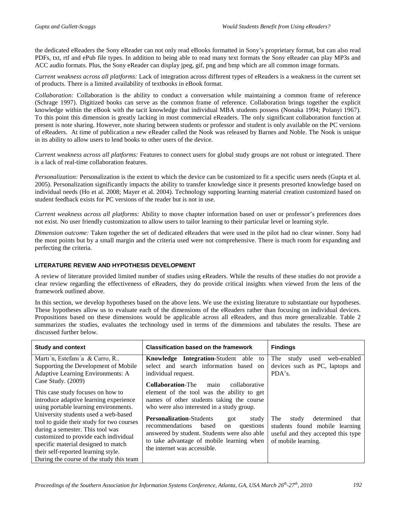the dedicated eReaders the Sony eReader can not only read eBooks formatted in Sony's proprietary format, but can also read PDFs, txt, rtf and ePub file types. In addition to being able to read many text formats the Sony eReader can play MP3s and ACC audio formats. Plus, the Sony eReader can display jpeg, gif, png and bmp which are all common image formats.

*Current weakness across all platforms:* Lack of integration across different types of eReaders is a weakness in the current set of products. There is a limited availability of textbooks in eBook format.

*Collaboration:* Collaboration is the ability to conduct a conversation while maintaining a common frame of reference (Schrage 1997). Digitized books can serve as the common frame of reference. Collaboration brings together the explicit knowledge within the eBook with the tacit knowledge that individual MBA students possess (Nonaka 1994; Polanyi 1967). To this point this dimension is greatly lacking in most commercial eReaders. The only significant collaboration function at present is note sharing. However, note sharing between students or professor and student is only available on the PC versions of eReaders. At time of publication a new eReader called the Nook was released by Barnes and Noble. The Nook is unique in its ability to allow users to lend books to other users of the device.

*Current weakness across all platforms:* Features to connect users for global study groups are not robust or integrated. There is a lack of real-time collaboration features.

*Personalization:* Personalization is the extent to which the device can be customized to fit a specific users needs (Gupta et al. 2005). Personalization significantly impacts the ability to transfer knowledge since it presents presorted knowledge based on individual needs (Ho et al. 2008; Mayer et al. 2004). Technology supporting learning material creation customized based on student feedback exists for PC versions of the reader but is not in use.

*Current weakness across all platforms:* Ability to move chapter information based on user or professor's preferences does not exist. No user friendly customization to allow users to tailor learning to their particular level or learning style.

*Dimension outcome:* Taken together the set of dedicated eReaders that were used in the pilot had no clear winner. Sony had the most points but by a small margin and the criteria used were not comprehensive. There is much room for expanding and perfecting the criteria.

#### **LITERATURE REVIEW AND HYPOTHESIS DEVELOPMENT**

A review of literature provided limited number of studies using eReaders. While the results of these studies do not provide a clear review regarding the effectiveness of eReaders, they do provide critical insights when viewed from the lens of the framework outlined above.

In this section, we develop hypotheses based on the above lens. We use the existing literature to substantiate our hypotheses. These hypotheses allow us to evaluate each of the dimensions of the eReaders rather than focusing on individual devices. Propositions based on these dimensions would be applicable across all eReaders, and thus more generalizable. Table 2 summarizes the studies, evaluates the technology used in terms of the dimensions and tabulates the results. These are discussed further below.

| <b>Study and context</b>                                                                                                                                                                                                                     | <b>Classification based on the framework</b>                                                                                                                                                                                | <b>Findings</b>                                                                                                                   |
|----------------------------------------------------------------------------------------------------------------------------------------------------------------------------------------------------------------------------------------------|-----------------------------------------------------------------------------------------------------------------------------------------------------------------------------------------------------------------------------|-----------------------------------------------------------------------------------------------------------------------------------|
| Marti'n, Estefani'a & Carro, R<br>Supporting the Development of Mobile                                                                                                                                                                       | Knowledge Integration-Student able<br>to<br>select and search information based on                                                                                                                                          | web-enabled<br>The<br>used<br>study<br>devices such as PC, laptops and                                                            |
| Adaptive Learning Environments: A                                                                                                                                                                                                            | individual request.                                                                                                                                                                                                         | PDA's.                                                                                                                            |
| Case Study. $(2009)$                                                                                                                                                                                                                         | <b>Collaboration-The</b> main<br>collaborative                                                                                                                                                                              |                                                                                                                                   |
| This case study focuses on how to                                                                                                                                                                                                            | element of the tool was the ability to get                                                                                                                                                                                  |                                                                                                                                   |
| introduce adaptive learning experience                                                                                                                                                                                                       | names of other students taking the course                                                                                                                                                                                   |                                                                                                                                   |
| using portable learning environments.                                                                                                                                                                                                        | who were also interested in a study group.                                                                                                                                                                                  |                                                                                                                                   |
| University students used a web-based<br>tool to guide their study for two courses<br>during a semester. This tool was<br>customized to provide each individual<br>specific material designed to match<br>their self-reported learning style. | <b>Personalization-Students</b><br>study<br>got<br>recommendations<br>based<br>questions<br>on<br>answered by student. Students were also able<br>to take advantage of mobile learning when<br>the internet was accessible. | determined<br>that<br>The<br>study<br>students found mobile learning<br>useful and they accepted this type<br>of mobile learning. |
| During the course of the study this team                                                                                                                                                                                                     |                                                                                                                                                                                                                             |                                                                                                                                   |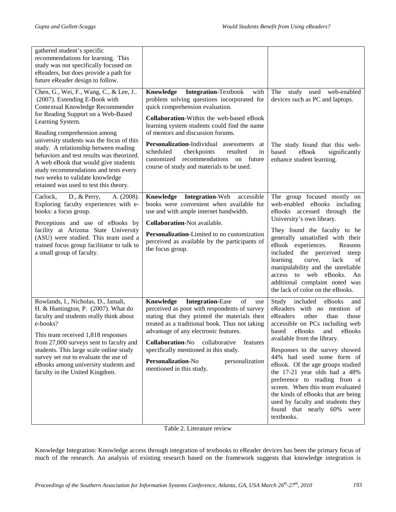| gathered student's specific<br>recommendations for learning. This<br>study was not specifically focused on<br>eReaders, but does provide a path for<br>future eReader design to follow.                                                                                                                                                                                                                                                                                                              |                                                                                                                                                                                                                                                                                                                                                                                                                                                              |                                                                                                                                                                                                                                                                                                                                                                                                                                                                                                                                              |
|------------------------------------------------------------------------------------------------------------------------------------------------------------------------------------------------------------------------------------------------------------------------------------------------------------------------------------------------------------------------------------------------------------------------------------------------------------------------------------------------------|--------------------------------------------------------------------------------------------------------------------------------------------------------------------------------------------------------------------------------------------------------------------------------------------------------------------------------------------------------------------------------------------------------------------------------------------------------------|----------------------------------------------------------------------------------------------------------------------------------------------------------------------------------------------------------------------------------------------------------------------------------------------------------------------------------------------------------------------------------------------------------------------------------------------------------------------------------------------------------------------------------------------|
| Chen, G., Wei, F., Wang, C., & Lee, J<br>(2007). Extending E-Book with<br>Contextual Knowledge Recommender<br>for Reading Support on a Web-Based<br>Learning System.<br>Reading comprehension among<br>university students was the focus of this<br>study. A relationship between reading<br>behaviors and test results was theorized.<br>A web eBook that would give students<br>study recommendations and tests every<br>two weeks to validate knowledge<br>retained was used to test this theory. | Knowledge<br><b>Integration-Textbook</b><br>with<br>problem solving questions incorporated for<br>quick comprehension evaluation.<br><b>Collaboration-Within the web-based eBook</b><br>learning system students could find the name<br>of mentors and discussion forums.<br>Personalization-Individual assessments<br>at<br>scheduled<br>checkpoints<br>resulted<br>in<br>customized recommendations on future<br>course of study and materials to be used. | study used web-enabled<br>The<br>devices such as PC and laptops.<br>The study found that this web-<br>based<br>eBook<br>significantly<br>enhance student learning.                                                                                                                                                                                                                                                                                                                                                                           |
| D., $&$ Perry,<br>Carlock,<br>A. (2008).<br>Exploring faculty experiences with e-<br>books: a focus group.<br>Perceptions and use of eBooks by<br>facility at Arizona State University<br>(ASU) were studied. This team used a<br>trained focus group facilitator to talk to<br>a small group of faculty.                                                                                                                                                                                            | Knowledge Integration-Web<br>accessible<br>books were convenient when available for<br>use and with ample internet bandwidth.<br>Collaboration-Not available.<br>Personalization-Limited to no customization<br>perceived as available by the participants of<br>the focus group.                                                                                                                                                                            | The group focused mostly on<br>web-enabled eBooks including<br>eBooks accessed through the<br>University's own library.<br>They found the faculty to be<br>generally unsatisfied with their<br>eBook experiences.<br>Reasons<br>included the perceived<br>steep<br>lack<br>learning<br>curve,<br>of<br>manipulability and the unreliable<br>access to web eBooks.<br>An<br>additional complaint noted was<br>the lack of color on the eBooks.                                                                                                |
| Rowlands, I., Nicholas, D., Jamali,<br>H. & Huntington, P. (2007). What do<br>faculty and students really think about<br>e-books?<br>This team received 1,818 responses<br>from 27,000 surveys sent to faculty and<br>students. This large scale online study<br>survey set out to evaluate the use of<br>eBooks among university students and<br>faculty in the United Kingdom.                                                                                                                     | Knowledge<br><b>Integration-Ease</b><br>of<br>use<br>perceived as poor with respondents of survey<br>stating that they printed the materials then<br>treated as a traditional book. Thus not taking<br>advantage of any electronic features.<br><b>Collaboration-No</b><br>collaborative<br>features<br>specifically mentioned in this study.<br>Personalization-No<br>personalization<br>mentioned in this study.                                           | Study<br>included<br>eBooks<br>and<br>eReaders with no mention of<br>eReaders<br>other<br>than<br>those<br>accessible on PCs including web<br>based<br>eBooks<br>and<br>eBooks<br>available from the library.<br>Responses to the survey showed<br>44% had used some form of<br>eBook. Of the age groups studied<br>the 17-21 year olds had a 48%<br>preference to reading from a<br>screen. When this team evaluated<br>the kinds of eBooks that are being<br>used by faculty and students they<br>found that nearly 60% were<br>textbooks. |

Table 2. Literature review

Knowledge Integration: Knowledge access through integration of textbooks to eReader devices has been the primary focus of much of the research. An analysis of existing research based on the framework suggests that knowledge integration is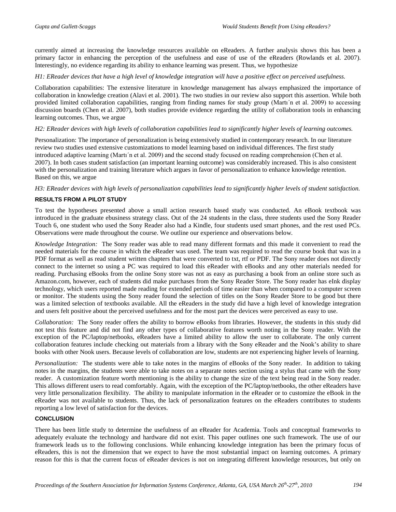currently aimed at increasing the knowledge resources available on eReaders. A further analysis shows this has been a primary factor in enhancing the perception of the usefulness and ease of use of the eReaders (Rowlands et al. 2007). Interestingly, no evidence regarding its ability to enhance learning was present. Thus, we hypothesize

#### *H1: EReader devices that have a high level of knowledge integration will have a positive effect on perceived usefulness.*

Collaboration capabilities: The extensive literature in knowledge management has always emphasized the importance of collaboration in knowledge creation (Alavi et al. 2001). The two studies in our review also support this assertion. While both provided limited collaboration capabilities, ranging from finding names for study group (Martı´n et al. 2009) to accessing discussion boards (Chen et al. 2007), both studies provide evidence regarding the utility of collaboration tools in enhancing learning outcomes. Thus, we argue

#### *H2: EReader devices with high levels of collaboration capabilities lead to significantly higher levels of learning outcomes.*

Personalization: The importance of personalization is being extensively studied in contemporary research. In our literature review two studies used extensive customizations to model learning based on individual differences. The first study introduced adaptive learning (Martı´n et al. 2009) and the second study focused on reading comprehension (Chen et al. 2007). In both cases student satisfaction (an important learning outcome) was considerably increased. This is also consistent with the personalization and training literature which argues in favor of personalization to enhance knowledge retention. Based on this, we argue

#### *H3: EReader devices with high levels of personalization capabilities lead to significantly higher levels of student satisfaction.*

#### **RESULTS FROM A PILOT STUDY**

To test the hypotheses presented above a small action research based study was conducted. An eBook textbook was introduced in the graduate ebusiness strategy class. Out of the 24 students in the class, three students used the Sony Reader Touch 6, one student who used the Sony Reader also had a Kindle, four students used smart phones, and the rest used PCs. Observations were made throughout the course. We outline our experience and observations below.

*Knowledge Integration:* The Sony reader was able to read many different formats and this made it convenient to read the needed materials for the course in which the eReader was used. The team was required to read the course book that was in a PDF format as well as read student written chapters that were converted to txt, rtf or PDF. The Sony reader does not directly connect to the internet so using a PC was required to load this eReader with eBooks and any other materials needed for reading. Purchasing eBooks from the online Sony store was not as easy as purchasing a book from an online store such as Amazon.com, however, each of students did make purchases from the Sony Reader Store. The Sony reader has eInk display technology, which users reported made reading for extended periods of time easier than when compared to a computer screen or monitor. The students using the Sony reader found the selection of titles on the Sony Reader Store to be good but there was a limited selection of textbooks available. All the eReaders in the study did have a high level of knowledge integration and users felt positive about the perceived usefulness and for the most part the devices were perceived as easy to use.

*Collaboration:* The Sony reader offers the ability to borrow eBooks from libraries. However, the students in this study did not test this feature and did not find any other types of collaborative features worth noting in the Sony reader. With the exception of the PC/laptop/netbooks, eReaders have a limited ability to allow the user to collaborate. The only current collaboration features include checking out materials from a library with the Sony eReader and the Nook's ability to share books with other Nook users. Because levels of collaboration are low, students are not experiencing higher levels of learning.

*Personalization:* The students were able to take notes in the margins of eBooks of the Sony reader. In addition to taking notes in the margins, the students were able to take notes on a separate notes section using a stylus that came with the Sony reader. A customization feature worth mentioning is the ability to change the size of the text being read in the Sony reader. This allows different users to read comfortably. Again, with the exception of the PC/laptop/netbooks, the other eReaders have very little personalization flexibility. The ability to manipulate information in the eReader or to customize the eBook in the eReader was not available to students. Thus, the lack of personalization features on the eReaders contributes to students reporting a low level of satisfaction for the devices.

#### **CONCLUSION**

There has been little study to determine the usefulness of an eReader for Academia. Tools and conceptual frameworks to adequately evaluate the technology and hardware did not exist. This paper outlines one such framework. The use of our framework leads us to the following conclusions. While enhancing knowledge integration has been the primary focus of eReaders, this is not the dimension that we expect to have the most substantial impact on learning outcomes. A primary reason for this is that the current focus of eReader devices is not on integrating different knowledge resources, but only on